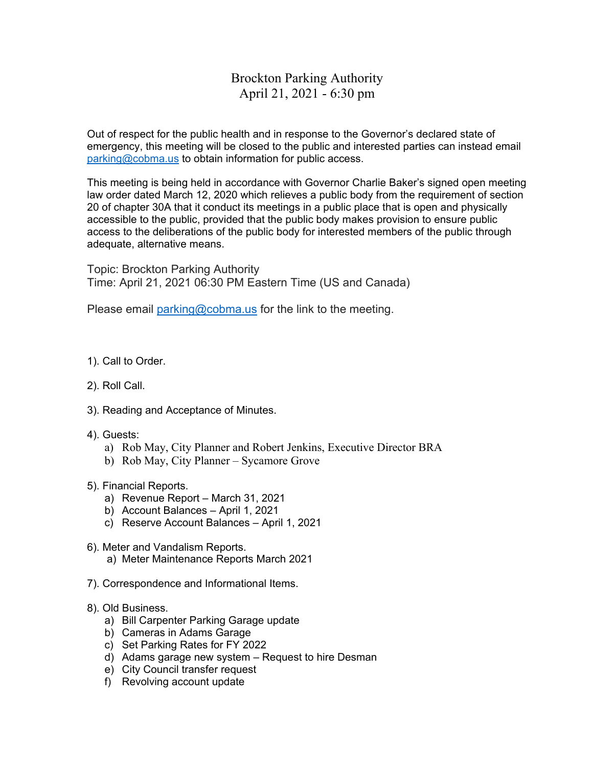parking@cobma.us to obtain information for public access. Out of respect for the public health and in response to the Governor's declared state of emergency, this meeting will be closed to the public and interested parties can instead email

This meeting is being held in accordance with Governor Charlie Baker's signed open meeting law order dated March 12, 2020 which relieves a public body from the requirement of section 20 of chapter 30A that it conduct its meetings in a public place that is open and physically accessible to the public, provided that the public body makes provision to ensure public access to the deliberations of the public body for interested members of the public through adequate, alternative means.

Topic: Brockton Parking Authority Time: April 21, 2021 06:30 PM Eastern Time (US and Canada)

Please email parking@cobma.us for the link to the meeting.

- 1). Call to Order.
- 2). Roll Call.
- 3). Reading and Acceptance of Minutes.
- 4). Guests:
	- a) Rob May, City Planner and Robert Jenkins, Executive Director BRA
	- b) Rob May, City Planner Sycamore Grove
- 5). Financial Reports.
	- a) Revenue Report March 31, 2021
	- b) Account Balances April 1, 2021
	- c) Reserve Account Balances April 1, 2021
- 6). Meter and Vandalism Reports.
	- a) Meter Maintenance Reports March 2021
- 7). Correspondence and Informational Items.
- 8). Old Business.
	- a) Bill Carpenter Parking Garage update
	- b) Cameras in Adams Garage
	- c) Set Parking Rates for FY 2022
	- d) Adams garage new system Request to hire Desman
	- e) City Council transfer request
	- f) Revolving account update